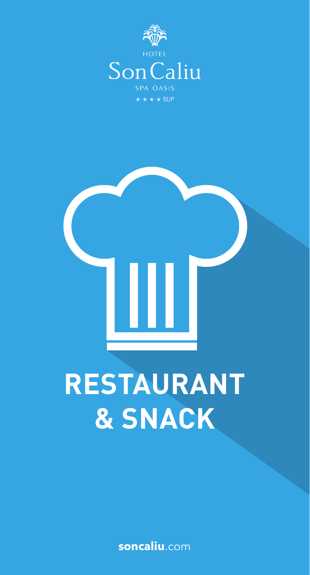



## **RESTAURANT** & SNACK

soncaliu.com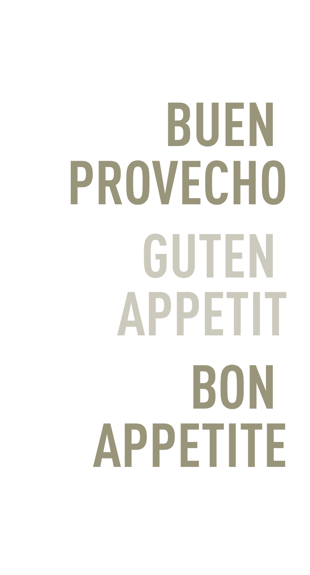# **BUEN PROVECHO GUTEN APPETIT BON APPETITE**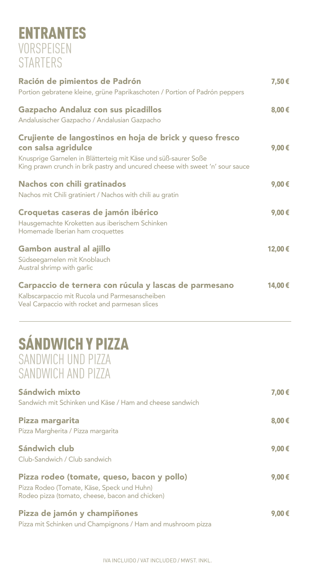#### ENTRANTES VORSPEISEN **STARTERS**

| Ración de pimientos de Padrón<br>Portion gebratene kleine, grüne Paprikaschoten / Portion of Padrón peppers                                                                                                                        | 7,50€           |
|------------------------------------------------------------------------------------------------------------------------------------------------------------------------------------------------------------------------------------|-----------------|
| Gazpacho Andaluz con sus picadillos<br>Andalusischer Gazpacho / Andalusian Gazpacho                                                                                                                                                | 8,00€           |
| Crujiente de langostinos en hoja de brick y queso fresco<br>con salsa agridulce<br>Knusprige Garnelen in Blätterteig mit Käse und süß-saurer Soße<br>King prawn crunch in brik pastry and uncured cheese with sweet 'n' sour sauce | 9,00 $\epsilon$ |
| <b>Nachos con chili gratinados</b><br>Nachos mit Chili gratiniert / Nachos with chili au gratin                                                                                                                                    | 9,00€           |
| Croquetas caseras de jamón ibérico<br>Hausgemachte Kroketten aus iberischem Schinken<br>Homemade Iberian ham croquettes                                                                                                            | 9,00€           |
| Gambon austral al ajillo<br>Südseegarnelen mit Knoblauch<br>Austral shrimp with garlic                                                                                                                                             | 12,00€          |
| Carpaccio de ternera con rúcula y lascas de parmesano<br>Kalbscarpaccio mit Rucola und Parmesanscheiben<br>Veal Carpaccio with rocket and parmesan slices                                                                          | 14,00€          |
| <b>SÁNDWICH Y PIZZA</b><br>SANDWICH UND PIZZA<br>SANDWICH AND PIZZA                                                                                                                                                                |                 |
| Sándwich mixto<br>Sandwich mit Schinken und Käse / Ham and cheese sandwich                                                                                                                                                         | 7,00€           |
| Pizza margarita<br>Pizza Margherita / Pizza margarita                                                                                                                                                                              | 8,00€           |
| Sándwich club<br>Club-Sandwich / Club sandwich                                                                                                                                                                                     | 9,00€           |
| Pizza rodeo (tomate, queso, bacon y pollo)<br>Pizza Rodeo (Tomate, Käse, Speck und Huhn)<br>Rodeo pizza (tomato, cheese, bacon and chicken)                                                                                        | 9,00 €          |
| Pizza de jamón y champiñones<br>Pizza mit Schinken und Champignons / Ham and mushroom pizza                                                                                                                                        | 9,00 €          |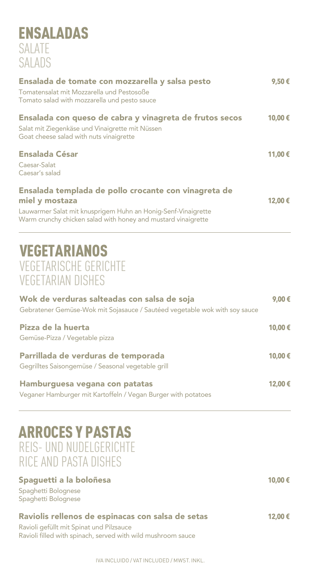#### ENSALADAS SALATE SALADS

| Ensalada de tomate con mozzarella y salsa pesto                                                                                | 9,50€   |
|--------------------------------------------------------------------------------------------------------------------------------|---------|
| Tomatensalat mit Mozzarella und Pestosoße<br>Tomato salad with mozzarella und pesto sauce                                      |         |
| Ensalada con queso de cabra y vinagreta de frutos secos                                                                        | 10,00€  |
| Salat mit Ziegenkäse und Vinaigrette mit Nüssen<br>Goat cheese salad with nuts vinaigrette                                     |         |
| <b>Ensalada César</b>                                                                                                          | 11,00 € |
| Caesar-Salat                                                                                                                   |         |
| Caesar's salad                                                                                                                 |         |
| Ensalada templada de pollo crocante con vinagreta de<br>miel y mostaza                                                         | 12,00 € |
| Lauwarmer Salat mit knusprigem Huhn an Honig-Senf-Vinaigrette<br>Warm crunchy chicken salad with honey and mustard vinaigrette |         |
|                                                                                                                                |         |

#### VEGETARIANOS VEGETARISCHE GERICHTE VEGETARIAN DISHES

| Wok de verduras salteadas con salsa de soja<br>Gebratener Gemüse-Wok mit Sojasauce / Sautéed vegetable wok with soy sauce<br>Pizza de la huerta<br>Gemüse-Pizza / Vegetable pizza | 9,00€<br>10,00€ |
|-----------------------------------------------------------------------------------------------------------------------------------------------------------------------------------|-----------------|
|                                                                                                                                                                                   |                 |
| Hamburguesa vegana con patatas<br>Veganer Hamburger mit Kartoffeln / Vegan Burger with potatoes                                                                                   | 12,00€          |

#### ARROCES Y PASTAS REIS- UND NUDELGERICHTE RICE AND PASTA DISHES

| Spaguetti a la boloñesa                           | 10,00€ |
|---------------------------------------------------|--------|
| Spaghetti Bolognese                               |        |
| Spaghetti Bolognese                               |        |
|                                                   |        |
|                                                   |        |
| Raviolis rellenos de espinacas con salsa de setas | 12,00€ |
| Ravioli gefüllt mit Spinat und Pilzsauce          |        |

IVA INCLUIDO / VAT INCLUDED / MWST. INKL.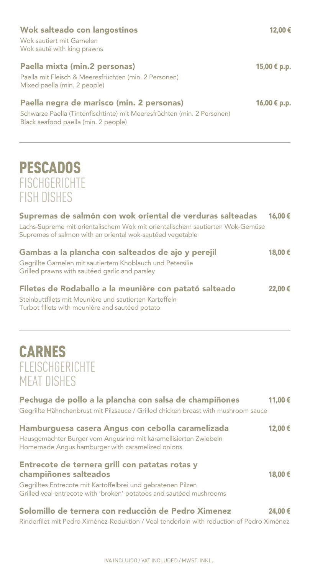#### Hamburguesa casera Angus con cebolla caramelizada **12,00 €** Hausgemachter Burger vom Angusrind mit karamellisierten Zwiebeln Homemade Angus hamburger with caramelized onions Entrecote de ternera grill con patatas rotas y champiñones salteados **18,00 €** Gegrilltes Entrecote mit Kartoffelbrei und gebratenen Pilzen Grilled veal entrecote with 'broken' potatoes and sautéed mushrooms Solomillo de ternera con reducción de Pedro Ximenez **24,00 €** Rinderfilet mit Pedro Ximénez-Reduktion / Veal tenderloin with reduction of Pedro Ximénez

#### Wok salteado con langostinos **12,00 €** Wok sautiert mit Garnelen

Wok sauté with king prawns

#### Paella mixta (min.2 personas) **15,00 € p.p.**

Paella mit Fleisch & Meeresfrüchten (min. 2 Personen) Mixed paella (min. 2 people)

#### Paella negra de marisco (min. 2 personas) **16,00 € p.p.**

Schwarze Paella (Tintenfischtinte) mit Meeresfrüchten (min. 2 Personen) Black seafood paella (min. 2 people)

### **PESCADOS FISCHGERICHTE** FISH DISHES

| Lachs-Supreme mit orientalischem Wok mit orientalischem sautierten Wok-Gemüse<br>Supremes of salmon with an oriental wok-sautéed vegetable                          |        |
|---------------------------------------------------------------------------------------------------------------------------------------------------------------------|--------|
| Gambas a la plancha con salteados de ajo y perejil<br>Gegrillte Garnelen mit sautiertem Knoblauch und Petersilie<br>Grilled prawns with sautéed garlic and parsley  | 18,00€ |
| Filetes de Rodaballo a la meunière con patató salteado<br>Steinbuttfilets mit Meunière und sautierten Kartoffeln<br>Turbot fillets with meunière and sautéed potato | 22,00€ |
| <b>CARNES</b><br><b>FLEISCHGERICHTE</b><br><b>MEAT DISHES</b>                                                                                                       |        |
| Pechuga de pollo a la plancha con salsa de champiñones<br>Gegrillte Hähnchenbrust mit Pilzsauce / Grilled chicken breast with mushroom sauce                        | 11,00€ |
| Hambuwangan sanara Amang san sahalla saramaling da l                                                                                                                |        |

Supremas de salmón con wok oriental de verduras salteadas **16,00 €**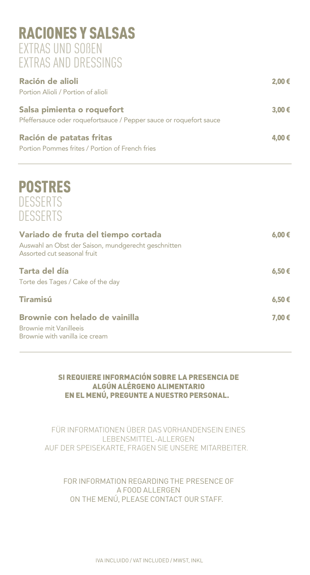#### RACIONES Y SALSAS EXTRAS UND SOßEN EXTRAS AND DRESSINGS

| Ración de alioli<br>Portion Alioli / Portion of alioli                                           | 2,00€ |
|--------------------------------------------------------------------------------------------------|-------|
| Salsa pimienta o roquefort<br>Pfeffersauce oder roquefortsauce / Pepper sauce or roquefort sauce | 3,00€ |
| Ración de patatas fritas<br>Portion Pommes frites / Portion of French fries                      | 4,00€ |

### POSTRES **DESSERTS** DESSERTS

| Variado de fruta del tiempo cortada<br>Auswahl an Obst der Saison, mundgerecht geschnitten<br>Assorted cut seasonal fruit | $6.00 \in$ |
|---------------------------------------------------------------------------------------------------------------------------|------------|
| Tarta del día<br>Torte des Tages / Cake of the day                                                                        | 6,50€      |
| <b>Tiramisú</b>                                                                                                           | 6,50€      |
| Brownie con helado de vainilla                                                                                            | 7,00€      |
| Brownie mit Vanilleeis<br>Brownie with vanilla ice cream                                                                  |            |

#### SI REQUIERE INFORMACIÓN SOBRE LA PRESENCIA DE ALGÚN ALÉRGENO ALIMENTARIO EN EL MENÚ, PREGUNTE A NUESTRO PERSONAL.

FÜR INFORMATIONEN ÜBER DAS VORHANDENSEIN EINES LEBENSMITTEL-ALLERGEN AUF DER SPEISEKARTE, FRAGEN SIE UNSERE MITARBEITER.

FOR INFORMATION REGARDING THE PRESENCE OF A FOOD ALLERGEN ON THE MENÚ, PLEASE CONTACT OUR STAFF.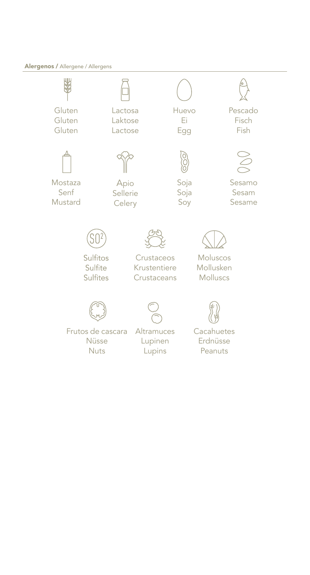#### Alergenos / Allergene / Allergens